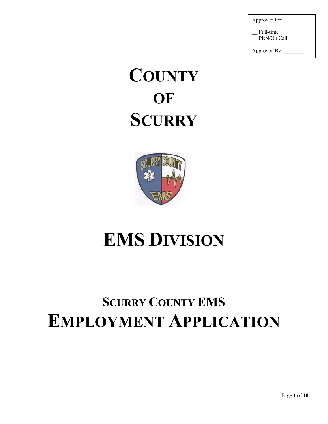Approved for:

Full-time PRN/On Call

Approved By:

# **COUNTY OF SCURRY**



## **EMS DIVISION**

### **SCURRY COUNTY EMS EMPLOYMENT APPLICATION**

Page **1** of **10**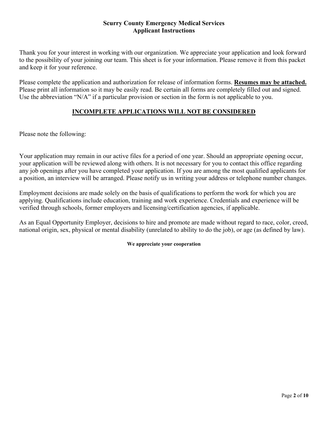#### **Scurry County Emergency Medical Services Applicant Instructions**

Thank you for your interest in working with our organization. We appreciate your application and look forward to the possibility of your joining our team. This sheet is for your information. Please remove it from this packet and keep it for your reference.

Please complete the application and authorization for release of information forms. **Resumes may be attached.** Please print all information so it may be easily read. Be certain all forms are completely filled out and signed. Use the abbreviation "N/A" if a particular provision or section in the form is not applicable to you.

#### **INCOMPLETE APPLICATIONS WILL NOT BE CONSIDERED**

Please note the following:

Your application may remain in our active files for a period of one year. Should an appropriate opening occur, your application will be reviewed along with others. It is not necessary for you to contact this office regarding any job openings after you have completed your application. If you are among the most qualified applicants for a position, an interview will be arranged. Please notify us in writing your address or telephone number changes.

Employment decisions are made solely on the basis of qualifications to perform the work for which you are applying. Qualifications include education, training and work experience. Credentials and experience will be verified through schools, former employers and licensing/certification agencies, if applicable.

As an Equal Opportunity Employer, decisions to hire and promote are made without regard to race, color, creed, national origin, sex, physical or mental disability (unrelated to ability to do the job), or age (as defined by law).

#### **We appreciate your cooperation**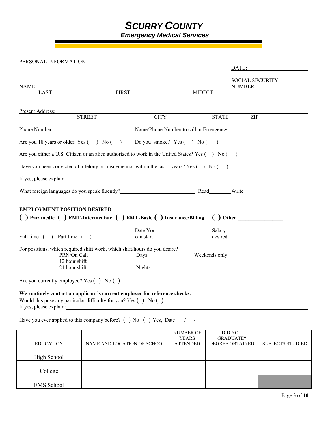### *SCURRY COUNTY*

 *Emergency Medical Services* 

| PERSONAL INFORMATION                                                                                      |                                                                                                                                                                                                                               |                                         |                                                       |
|-----------------------------------------------------------------------------------------------------------|-------------------------------------------------------------------------------------------------------------------------------------------------------------------------------------------------------------------------------|-----------------------------------------|-------------------------------------------------------|
|                                                                                                           |                                                                                                                                                                                                                               |                                         | DATE:                                                 |
| NAME:                                                                                                     |                                                                                                                                                                                                                               |                                         | <b>SOCIAL SECURITY</b><br>NUMBER:                     |
| <b>LAST</b>                                                                                               | <b>FIRST</b>                                                                                                                                                                                                                  | <b>MIDDLE</b>                           |                                                       |
| Present Address:                                                                                          |                                                                                                                                                                                                                               |                                         |                                                       |
| <b>STREET</b>                                                                                             | <b>CITY</b>                                                                                                                                                                                                                   | <b>STATE</b>                            | ZIP                                                   |
| Phone Number:                                                                                             |                                                                                                                                                                                                                               | Name/Phone Number to call in Emergency: |                                                       |
| Are you 18 years or older: $Yes( ) No( )$                                                                 |                                                                                                                                                                                                                               | Do you smoke? $Yes( ) No( )$            |                                                       |
| Are you either a U.S. Citizen or an alien authorized to work in the United States? Yes $( \ )$ No $( \ )$ |                                                                                                                                                                                                                               |                                         |                                                       |
| Have you been convicted of a felony or misdemeanor within the last 5 years? Yes $( \ )$ No $( \ )$        |                                                                                                                                                                                                                               |                                         |                                                       |
| If yes, please explain.                                                                                   | <u> 1980 - Jan Samuel Barbara, martin di sebagai personal di sebagai personal di sebagai personal di sebagai per</u>                                                                                                          |                                         |                                                       |
|                                                                                                           |                                                                                                                                                                                                                               |                                         |                                                       |
| <b>EMPLOYMENT POSITION DESIRED</b>                                                                        |                                                                                                                                                                                                                               |                                         |                                                       |
| ( ) Paramedic ( ) EMT-Intermediate ( ) EMT-Basic ( ) Insurance/Billing                                    |                                                                                                                                                                                                                               |                                         | $\left( \begin{array}{c} 0 \end{array} \right)$ Other |
|                                                                                                           | Date You                                                                                                                                                                                                                      | Salary                                  |                                                       |
| Full time () Part time ()                                                                                 | can start the canada start that the canada start the canada start the canada start and the control of the control of the control of the control of the control of the control of the control of the control of the control of |                                         | desired                                               |
| For positions, which required shift work, which shift/hours do you desire?                                |                                                                                                                                                                                                                               |                                         |                                                       |
| PRN/On Call<br>12 hour shift                                                                              | $\frac{1}{2}$ Days                                                                                                                                                                                                            | Weekends only                           |                                                       |
| 24 hour shift                                                                                             | $\frac{1}{\sqrt{2}}$ Nights                                                                                                                                                                                                   |                                         |                                                       |
| Are you currently employed? Yes $( )$ No $( )$                                                            |                                                                                                                                                                                                                               |                                         |                                                       |
| We routinely contact an applicant's current employer for reference checks.                                |                                                                                                                                                                                                                               |                                         |                                                       |
| Would this pose any particular difficulty for you? Yes $( )$ No $( )$                                     |                                                                                                                                                                                                                               |                                         |                                                       |
| If yes, please explain:                                                                                   |                                                                                                                                                                                                                               |                                         |                                                       |

Have you ever applied to this company before? ( ) No ( ) Yes, Date  $\frac{1}{\sqrt{2}}$ 

| <b>EDUCATION</b>  | NAME AND LOCATION OF SCHOOL | <b>NUMBER OF</b><br><b>YEARS</b><br><b>ATTENDED</b> | <b>DID YOU</b><br><b>GRADUATE?</b><br><b>DEGREE OBTAINED</b> | <b>SUBJECTS STUDIED</b> |
|-------------------|-----------------------------|-----------------------------------------------------|--------------------------------------------------------------|-------------------------|
| High School       |                             |                                                     |                                                              |                         |
| College           |                             |                                                     |                                                              |                         |
| <b>EMS</b> School |                             |                                                     |                                                              |                         |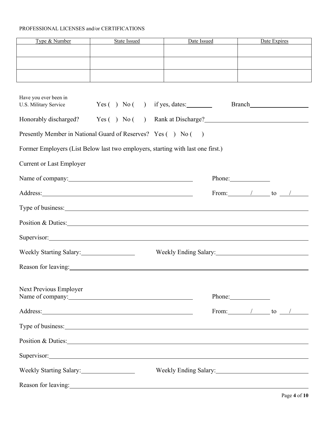#### PROFESSIONAL LICENSES and/or CERTIFICATIONS

| Type & Number | State Issued | Date Issued | Date Expires |
|---------------|--------------|-------------|--------------|
|               |              |             |              |
|               |              |             |              |
|               |              |             |              |
|               |              |             |              |
|               |              |             |              |
|               |              |             |              |

| Have you ever been in<br>U.S. Military Service                                                                                                                                                                                 |              | $Yes( ) No( )$ if yes, dates:             |                                |  |  |
|--------------------------------------------------------------------------------------------------------------------------------------------------------------------------------------------------------------------------------|--------------|-------------------------------------------|--------------------------------|--|--|
| Honorably discharged?                                                                                                                                                                                                          | Yes( ) No( ) | Rank at Discharge?<br><u>Example 2008</u> |                                |  |  |
| Presently Member in National Guard of Reserves? Yes () No ()                                                                                                                                                                   |              |                                           |                                |  |  |
| Former Employers (List Below last two employers, starting with last one first.)                                                                                                                                                |              |                                           |                                |  |  |
| <b>Current or Last Employer</b>                                                                                                                                                                                                |              |                                           |                                |  |  |
|                                                                                                                                                                                                                                |              |                                           |                                |  |  |
|                                                                                                                                                                                                                                |              |                                           | From: $\qquad$ / to $\qquad$   |  |  |
|                                                                                                                                                                                                                                |              |                                           |                                |  |  |
|                                                                                                                                                                                                                                |              |                                           |                                |  |  |
| Supervisor: Supervisor:                                                                                                                                                                                                        |              |                                           |                                |  |  |
| Weekly Starting Salary:                                                                                                                                                                                                        |              |                                           |                                |  |  |
| Reason for leaving: 1992. The contract of the contract of the contract of the contract of the contract of the contract of the contract of the contract of the contract of the contract of the contract of the contract of the  |              |                                           |                                |  |  |
| Next Previous Employer                                                                                                                                                                                                         |              |                                           |                                |  |  |
|                                                                                                                                                                                                                                |              |                                           | Phone: 2000                    |  |  |
| Address: 1000 million and the contract of the contract of the contract of the contract of the contract of the contract of the contract of the contract of the contract of the contract of the contract of the contract of the  |              |                                           | From: $\sqrt{ }$ to $\sqrt{ }$ |  |  |
| Type of business:                                                                                                                                                                                                              |              |                                           |                                |  |  |
| Position & Duties: 2008. [2016] The Contract of Duties:                                                                                                                                                                        |              |                                           |                                |  |  |
| Supervisor: Supervisor:                                                                                                                                                                                                        |              |                                           |                                |  |  |
| Weekly Starting Salary:                                                                                                                                                                                                        |              | Weekly Ending Salary:                     |                                |  |  |
| Reason for leaving: Network of the state of the state of the state of the state of the state of the state of the state of the state of the state of the state of the state of the state of the state of the state of the state |              |                                           |                                |  |  |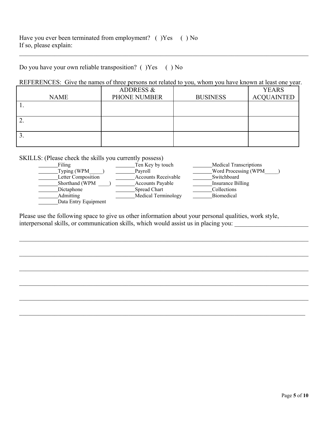Do you have your own reliable transposition? ( )Yes ( ) No

#### REFERENCES: Give the names of three persons not related to you, whom you have known at least one year.

|             | <b>ADDRESS &amp;</b> |                 | <b>YEARS</b>      |
|-------------|----------------------|-----------------|-------------------|
| <b>NAME</b> | PHONE NUMBER         | <b>BUSINESS</b> | <b>ACQUAINTED</b> |
|             |                      |                 |                   |
|             |                      |                 |                   |
| ۷.          |                      |                 |                   |
|             |                      |                 |                   |
| э.          |                      |                 |                   |
|             |                      |                 |                   |

SKILLS: (Please check the skills you currently possess)

| Filing               | Ten Key by touch        | <b>Medical Transcriptions</b> |
|----------------------|-------------------------|-------------------------------|
| Typing (WPM          | Pavroll                 | Word Processing (WPM          |
| Letter Composition   | Accounts Receivable     | Switchboard                   |
| Shorthand (WPM       | <b>Accounts Payable</b> | Insurance Billing             |
| Dictaphone           | Spread Chart            | Collections                   |
| Admitting            | Medical Terminology     | <b>Biomedical</b>             |
| Data Entry Equipment |                         |                               |
|                      |                         |                               |

Please use the following space to give us other information about your personal qualities, work style, interpersonal skills, or communication skills, which would assist us in placing you: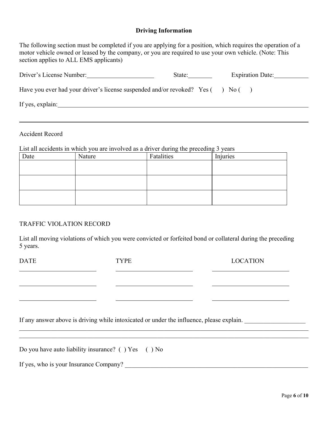#### **Driving Information**

The following section must be completed if you are applying for a position, which requires the operation of a motor vehicle owned or leased by the company, or you are required to use your own vehicle. (Note: This section applies to ALL EMS applicants)

| Driver's License Number:                                                | State: |                | <b>Expiration Date:</b> |
|-------------------------------------------------------------------------|--------|----------------|-------------------------|
| Have you ever had your driver's license suspended and/or revoked? Yes ( |        | $\bigcup$ No ( |                         |
| If yes, explain:                                                        |        |                |                         |

Accident Record

 $\overline{a}$ 

List all accidents in which you are involved as a driver during the preceding 3 years

| Date | Nature | Fatalities | Injuries |
|------|--------|------------|----------|
|      |        |            |          |
|      |        |            |          |
|      |        |            |          |
|      |        |            |          |
|      |        |            |          |
|      |        |            |          |

#### TRAFFIC VIOLATION RECORD

List all moving violations of which you were convicted or forfeited bond or collateral during the preceding 5 years.

| If any answer above is driving while intoxicated or under the influence, please explain. |             |                 |  |  |  |  |
|------------------------------------------------------------------------------------------|-------------|-----------------|--|--|--|--|
|                                                                                          |             |                 |  |  |  |  |
|                                                                                          |             |                 |  |  |  |  |
| <b>DATE</b>                                                                              | <b>TYPE</b> | <b>LOCATION</b> |  |  |  |  |

Do you have auto liability insurance? ( ) Yes ( ) No

If yes, who is your Insurance Company?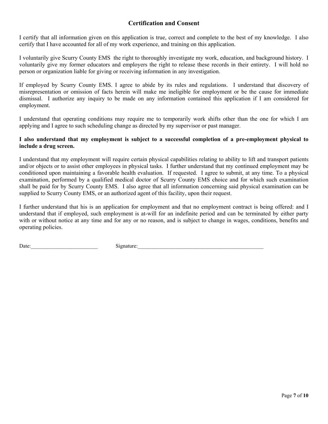#### **Certification and Consent**

I certify that all information given on this application is true, correct and complete to the best of my knowledge. I also certify that I have accounted for all of my work experience, and training on this application.

I voluntarily give Scurry County EMS the right to thoroughly investigate my work, education, and background history. I voluntarily give my former educators and employers the right to release these records in their entirety. I will hold no person or organization liable for giving or receiving information in any investigation.

If employed by Scurry County EMS. I agree to abide by its rules and regulations. I understand that discovery of misrepresentation or omission of facts herein will make me ineligible for employment or be the cause for immediate dismissal. I authorize any inquiry to be made on any information contained this application if I am considered for employment.

I understand that operating conditions may require me to temporarily work shifts other than the one for which I am applying and I agree to such scheduling change as directed by my supervisor or past manager.

#### **I also understand that my employment is subject to a successful completion of a pre-employment physical to include a drug screen.**

I understand that my employment will require certain physical capabilities relating to ability to lift and transport patients and/or objects or to assist other employees in physical tasks. I further understand that my continued employment may be conditioned upon maintaining a favorable health evaluation. If requested. I agree to submit, at any time. To a physical examination, performed by a qualified medical doctor of Scurry County EMS choice and for which such examination shall be paid for by Scurry County EMS. I also agree that all information concerning said physical examination can be supplied to Scurry County EMS, or an authorized agent of this facility, upon their request.

I further understand that his is an application for employment and that no employment contract is being offered: and I understand that if employed, such employment is at-will for an indefinite period and can be terminated by either party with or without notice at any time and for any or no reason, and is subject to change in wages, conditions, benefits and operating policies.

Date: Signature: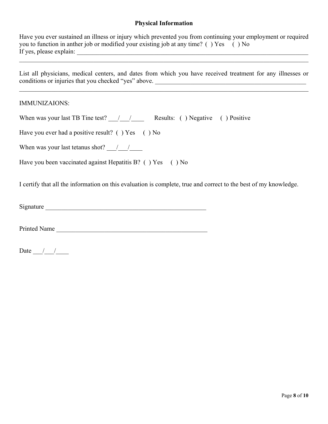#### **Physical Information**

| Have you ever sustained an illness or injury which prevented you from continuing your employment or required |  |
|--------------------------------------------------------------------------------------------------------------|--|
| you to function in anther job or modified your existing job at any time? () Yes () No                        |  |
| If yes, please explain:                                                                                      |  |

List all physicians, medical centers, and dates from which you have received treatment for any illnesses or conditions or injuries that you checked "yes" above. \_\_\_\_\_\_\_\_\_\_\_\_\_\_\_\_\_\_\_\_\_\_\_\_\_\_\_\_\_\_\_\_\_\_\_\_\_\_\_\_\_\_\_\_\_\_\_

#### IMMUNIZAIONS:

| When was your last TB Tine test? $\frac{1}{2}$ / Results: () Negative () Positive |  |  |  |  |
|-----------------------------------------------------------------------------------|--|--|--|--|
|-----------------------------------------------------------------------------------|--|--|--|--|

Have you ever had a positive result? () Yes () No

When was your last tetanus shot?  $\frac{1}{2}$ 

Have you been vaccinated against Hepatitis B? () Yes () No

I certify that all the information on this evaluation is complete, true and correct to the best of my knowledge.

Printed Name \_\_\_\_\_\_\_\_\_\_\_\_\_\_\_\_\_\_\_\_\_\_\_\_\_\_\_\_\_\_\_\_\_\_\_\_\_\_\_\_\_\_\_\_\_\_\_

Date  $\frac{1}{\sqrt{2\pi}}$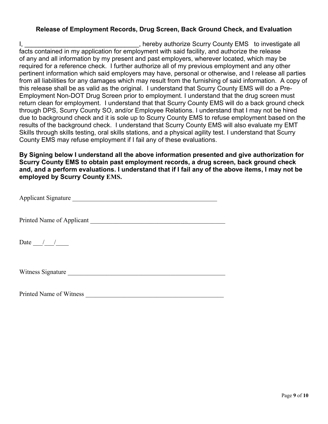#### **Release of Employment Records, Drug Screen, Back Ground Check, and Evaluation**

I, **I** and the setting the setting the setting the setting the setting the setting the setting the setting the setting the setting the setting the setting the setting the setting the setting the setting the setting the set facts contained in my application for employment with said facility, and authorize the release of any and all information by my present and past employers, wherever located, which may be required for a reference check. I further authorize all of my previous employment and any other pertinent information which said employers may have, personal or otherwise, and I release all parties from all liabilities for any damages which may result from the furnishing of said information. A copy of this release shall be as valid as the original. I understand that Scurry County EMS will do a Pre-Employment Non-DOT Drug Screen prior to employment. I understand that the drug screen must return clean for employment. I understand that that Scurry County EMS will do a back ground check through DPS, Scurry County SO, and/or Employee Relations. I understand that I may not be hired due to background check and it is sole up to Scurry County EMS to refuse employment based on the results of the background check. I understand that Scurry County EMS will also evaluate my EMT Skills through skills testing, oral skills stations, and a physical agility test. I understand that Scurry County EMS may refuse employment if I fail any of these evaluations.

**By Signing below I understand all the above information presented and give authorization for Scurry County EMS to obtain past employment records, a drug screen, back ground check and, and a perform evaluations. I understand that if I fail any of the above items, I may not be employed by Scurry County EMS.** 

Applicant Signature

Printed Name of Applicant Theorem 2012 and 2012 and 2012 and 2012 and 2012 and 2012 and 2012 and 2013 and 2013

Date  $\_\_\_\_\_\_\_\_\_\_\_\_\_$ 

Witness Signature \_\_\_\_\_\_\_\_\_\_\_\_\_\_\_\_\_\_\_\_\_\_\_\_\_\_\_\_\_\_\_\_\_\_\_\_\_\_\_\_\_\_\_\_\_\_\_\_\_

Printed Name of Witness \_\_\_\_\_\_\_\_\_\_\_\_\_\_\_\_\_\_\_\_\_\_\_\_\_\_\_\_\_\_\_\_\_\_\_\_\_\_\_\_\_\_\_